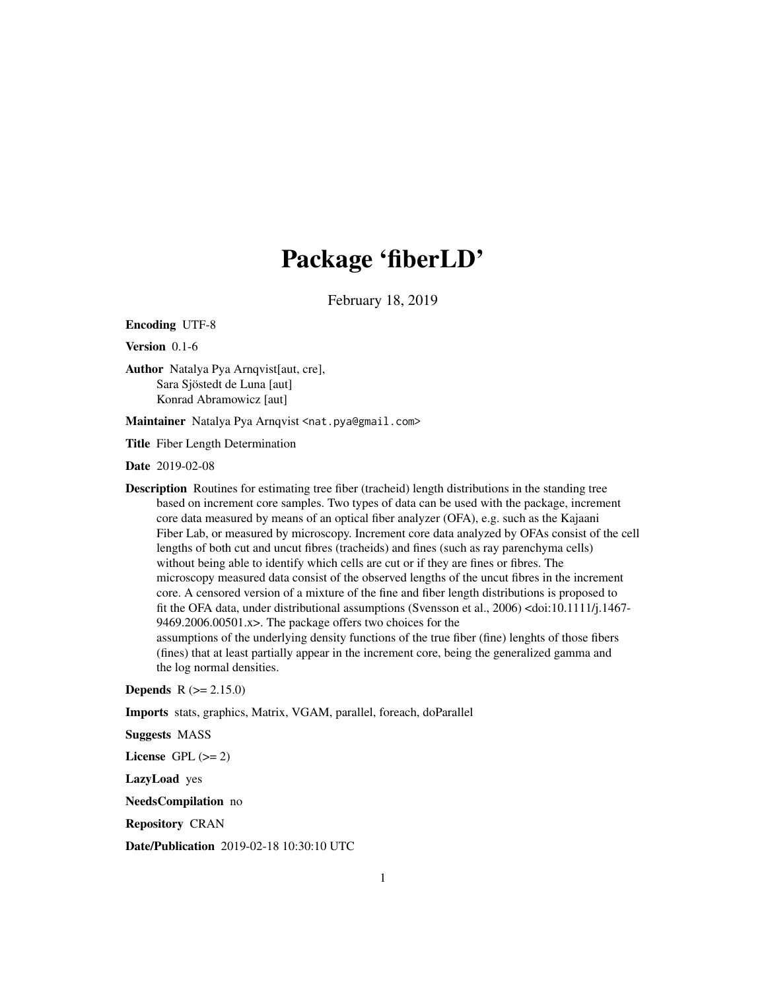# Package 'fiberLD'

February 18, 2019

<span id="page-0-0"></span>Encoding UTF-8

Version 0.1-6

Author Natalya Pya Arnqvist[aut, cre], Sara Sjöstedt de Luna [aut] Konrad Abramowicz [aut]

Maintainer Natalya Pya Arnqvist <nat.pya@gmail.com>

Title Fiber Length Determination

Date 2019-02-08

Description Routines for estimating tree fiber (tracheid) length distributions in the standing tree based on increment core samples. Two types of data can be used with the package, increment core data measured by means of an optical fiber analyzer (OFA), e.g. such as the Kajaani Fiber Lab, or measured by microscopy. Increment core data analyzed by OFAs consist of the cell lengths of both cut and uncut fibres (tracheids) and fines (such as ray parenchyma cells) without being able to identify which cells are cut or if they are fines or fibres. The microscopy measured data consist of the observed lengths of the uncut fibres in the increment core. A censored version of a mixture of the fine and fiber length distributions is proposed to fit the OFA data, under distributional assumptions (Svensson et al., 2006) <doi:10.1111/j.1467- 9469.2006.00501.x>. The package offers two choices for the assumptions of the underlying density functions of the true fiber (fine) lenghts of those fibers (fines) that at least partially appear in the increment core, being the generalized gamma and the log normal densities.

**Depends**  $R (= 2.15.0)$ 

Imports stats, graphics, Matrix, VGAM, parallel, foreach, doParallel

Suggests MASS

License GPL  $(>= 2)$ 

LazyLoad yes

NeedsCompilation no

Repository CRAN

Date/Publication 2019-02-18 10:30:10 UTC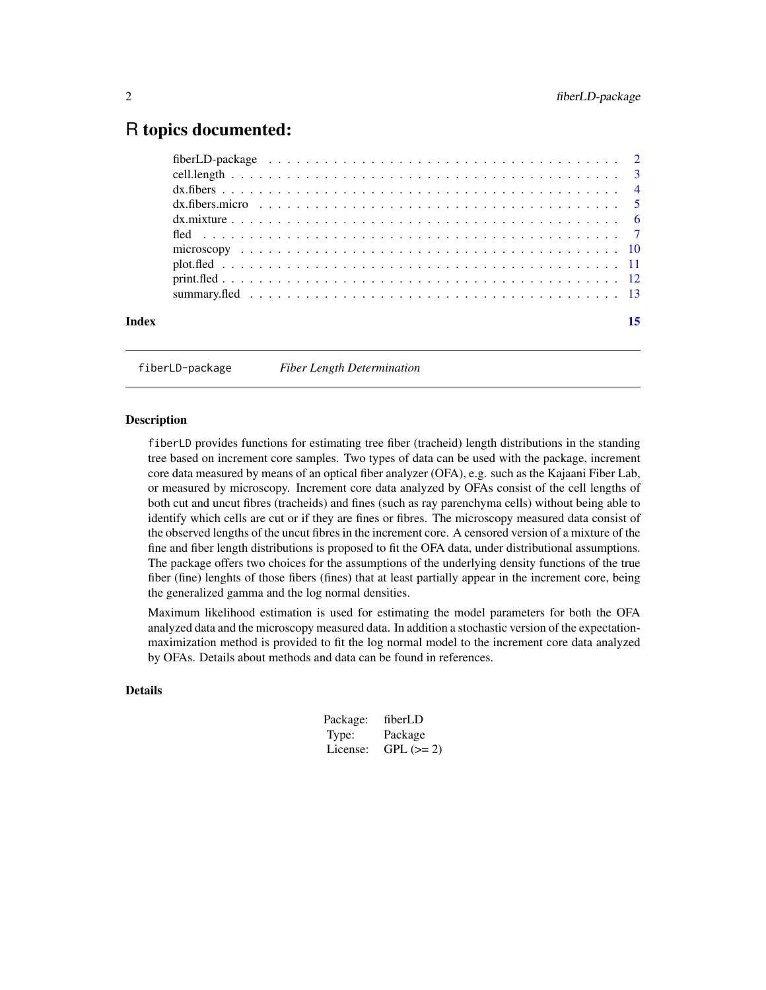# <span id="page-1-0"></span>R topics documented:

| Index |  |
|-------|--|
|       |  |

fiberLD-package *Fiber Length Determination*

# Description

fiberLD provides functions for estimating tree fiber (tracheid) length distributions in the standing tree based on increment core samples. Two types of data can be used with the package, increment core data measured by means of an optical fiber analyzer (OFA), e.g. such as the Kajaani Fiber Lab, or measured by microscopy. Increment core data analyzed by OFAs consist of the cell lengths of both cut and uncut fibres (tracheids) and fines (such as ray parenchyma cells) without being able to identify which cells are cut or if they are fines or fibres. The microscopy measured data consist of the observed lengths of the uncut fibres in the increment core. A censored version of a mixture of the fine and fiber length distributions is proposed to fit the OFA data, under distributional assumptions. The package offers two choices for the assumptions of the underlying density functions of the true fiber (fine) lenghts of those fibers (fines) that at least partially appear in the increment core, being the generalized gamma and the log normal densities.

Maximum likelihood estimation is used for estimating the model parameters for both the OFA analyzed data and the microscopy measured data. In addition a stochastic version of the expectationmaximization method is provided to fit the log normal model to the increment core data analyzed by OFAs. Details about methods and data can be found in references.

# **Details**

| Package: | fiberLD    |
|----------|------------|
| Type:    | Package    |
| License: | $GPL (=2)$ |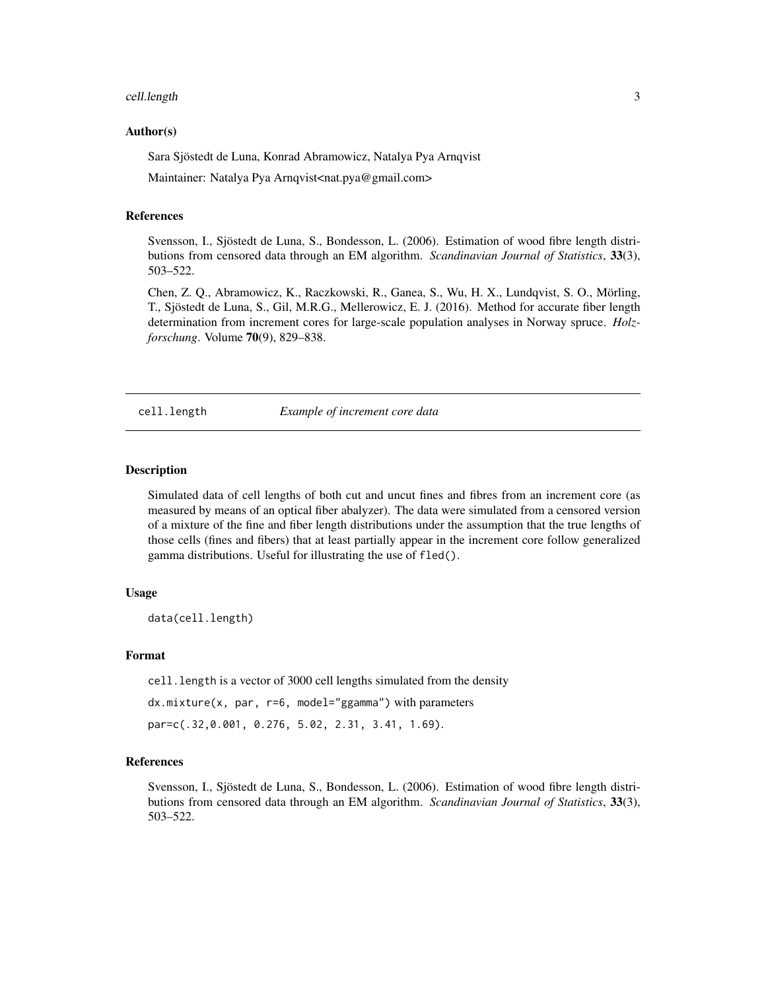#### <span id="page-2-0"></span>cell.length 3

#### Author(s)

Sara Sjöstedt de Luna, Konrad Abramowicz, Natalya Pya Arnqvist

Maintainer: Natalya Pya Arnqvist<nat.pya@gmail.com>

# References

Svensson, I., Sjöstedt de Luna, S., Bondesson, L. (2006). Estimation of wood fibre length distributions from censored data through an EM algorithm. *Scandinavian Journal of Statistics*, 33(3), 503–522.

Chen, Z. Q., Abramowicz, K., Raczkowski, R., Ganea, S., Wu, H. X., Lundqvist, S. O., Mörling, T., Sjöstedt de Luna, S., Gil, M.R.G., Mellerowicz, E. J. (2016). Method for accurate fiber length determination from increment cores for large-scale population analyses in Norway spruce. *Holzforschung*. Volume 70(9), 829–838.

cell.length *Example of increment core data*

#### Description

Simulated data of cell lengths of both cut and uncut fines and fibres from an increment core (as measured by means of an optical fiber abalyzer). The data were simulated from a censored version of a mixture of the fine and fiber length distributions under the assumption that the true lengths of those cells (fines and fibers) that at least partially appear in the increment core follow generalized gamma distributions. Useful for illustrating the use of fled().

# Usage

data(cell.length)

#### Format

cell. length is a vector of 3000 cell lengths simulated from the density

dx.mixture(x, par, r=6, model="ggamma") with parameters

par=c(.32,0.001, 0.276, 5.02, 2.31, 3.41, 1.69).

#### References

Svensson, I., Sjöstedt de Luna, S., Bondesson, L. (2006). Estimation of wood fibre length distributions from censored data through an EM algorithm. *Scandinavian Journal of Statistics*, 33(3), 503–522.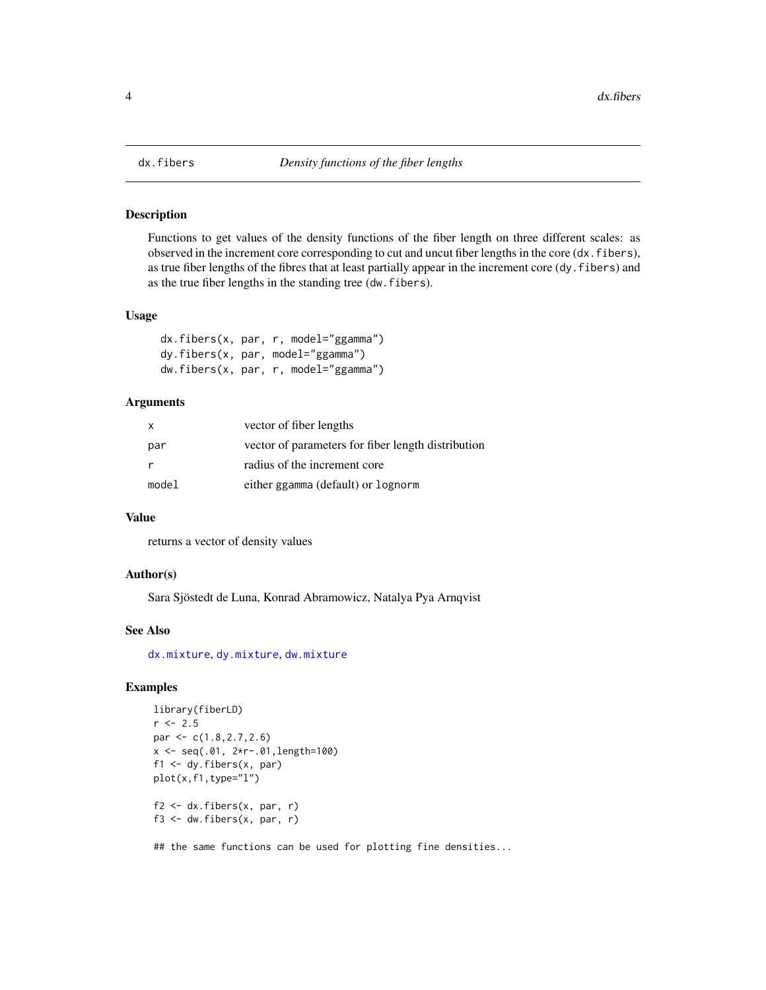<span id="page-3-1"></span><span id="page-3-0"></span>

# <span id="page-3-2"></span>Description

Functions to get values of the density functions of the fiber length on three different scales: as observed in the increment core corresponding to cut and uncut fiber lengths in the core (dx.fibers), as true fiber lengths of the fibres that at least partially appear in the increment core (dy.fibers) and as the true fiber lengths in the standing tree (dw.fibers).

#### Usage

```
dx.fibers(x, par, r, model="ggamma")
dy.fibers(x, par, model="ggamma")
dw.fibers(x, par, r, model="ggamma")
```
# Arguments

| X     | vector of fiber lengths                            |
|-------|----------------------------------------------------|
| par   | vector of parameters for fiber length distribution |
| -r    | radius of the increment core                       |
| model | either ggamma (default) or lognorm                 |

#### Value

returns a vector of density values

# Author(s)

Sara Sjöstedt de Luna, Konrad Abramowicz, Natalya Pya Arnqvist

#### See Also

[dx.mixture](#page-5-1), [dy.mixture](#page-5-2), [dw.mixture](#page-5-2)

# Examples

```
library(fiberLD)
r <- 2.5
par <- c(1.8,2.7,2.6)
x <- seq(.01, 2*r-.01,length=100)
f1 \leq dy.fibers(x, par)
plot(x,f1,type="l")
f2 \leq d x.fibers(x, par, r)
f3 \leftarrow dw.fibers(x, par, r)
```
## the same functions can be used for plotting fine densities...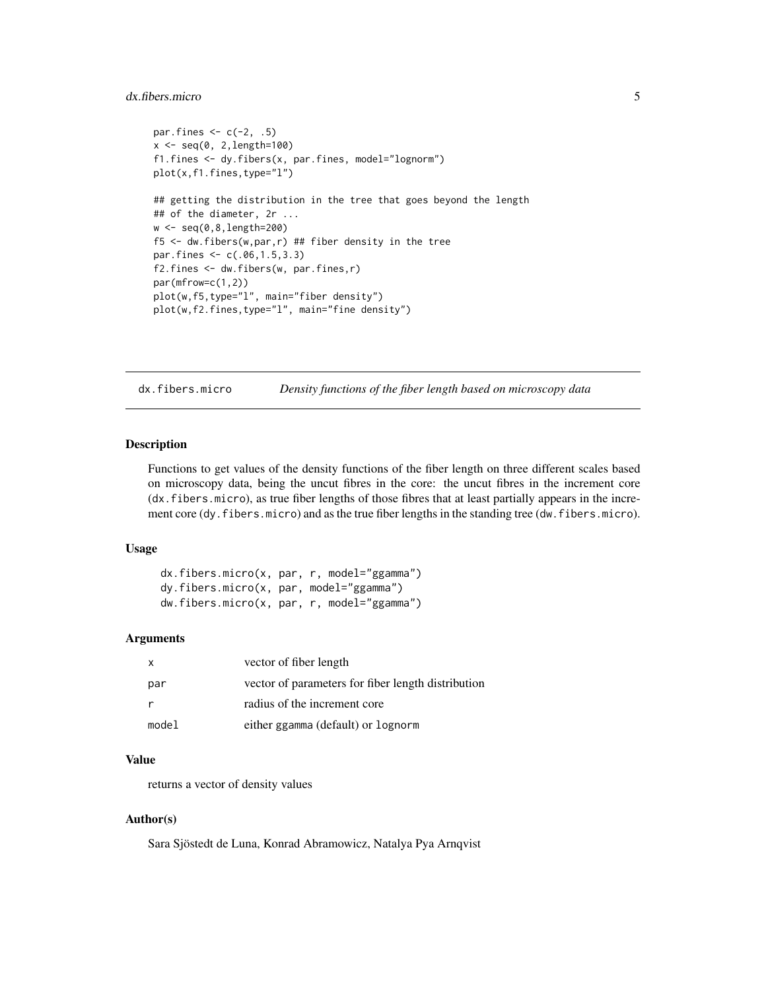# <span id="page-4-0"></span>dx.fibers.micro 5

```
par.fines \leq c(-2, .5)x < - seq(0, 2, length=100)
f1.fines <- dy.fibers(x, par.fines, model="lognorm")
plot(x,f1.fines,type="l")
## getting the distribution in the tree that goes beyond the length
## of the diameter, 2r ...
w <- seq(0,8,length=200)
f5 \leq dw.fibers(w,par,r) ## fiber density in the tree
par.fines <- c(.06,1.5,3.3)
f2.fines <- dw.fibers(w, par.fines,r)
par(mfrow=c(1,2))
plot(w,f5,type="l", main="fiber density")
plot(w,f2.fines,type="l", main="fine density")
```
dx.fibers.micro *Density functions of the fiber length based on microscopy data*

# Description

Functions to get values of the density functions of the fiber length on three different scales based on microscopy data, being the uncut fibres in the core: the uncut fibres in the increment core (dx.fibers.micro), as true fiber lengths of those fibres that at least partially appears in the increment core (dy.fibers.micro) and as the true fiber lengths in the standing tree (dw.fibers.micro).

#### Usage

dx.fibers.micro(x, par, r, model="ggamma") dy.fibers.micro(x, par, model="ggamma") dw.fibers.micro(x, par, r, model="ggamma")

# Arguments

| x     | vector of fiber length                             |
|-------|----------------------------------------------------|
| par   | vector of parameters for fiber length distribution |
| r     | radius of the increment core                       |
| model | either ggamma (default) or lognorm                 |

# Value

returns a vector of density values

# Author(s)

Sara Sjöstedt de Luna, Konrad Abramowicz, Natalya Pya Arnqvist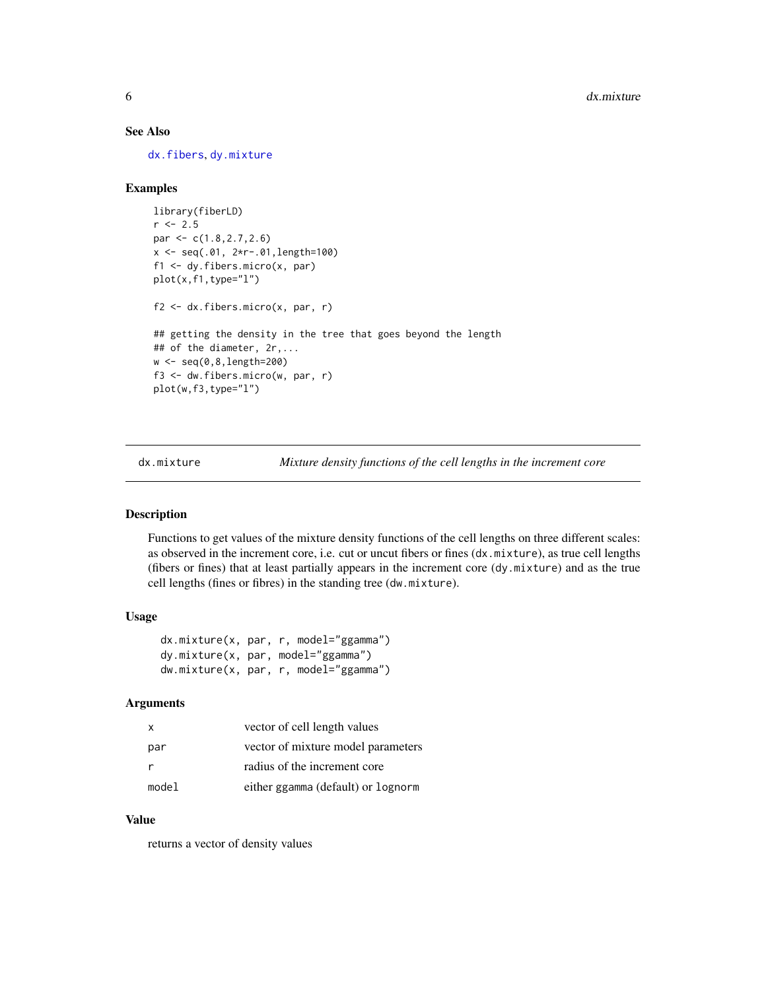# See Also

[dx.fibers](#page-3-1), [dy.mixture](#page-5-2)

# Examples

```
library(fiberLD)
r < -2.5par <- c(1.8,2.7,2.6)
x <- seq(.01, 2*r-.01,length=100)
f1 <- dy.fibers.micro(x, par)
plot(x,f1,type="l")
f2 <- dx.fibers.micro(x, par, r)
## getting the density in the tree that goes beyond the length
## of the diameter, 2r,...
w <- seq(0,8,length=200)
f3 <- dw.fibers.micro(w, par, r)
plot(w,f3,type="l")
```
<span id="page-5-1"></span>dx.mixture *Mixture density functions of the cell lengths in the increment core*

# <span id="page-5-2"></span>Description

Functions to get values of the mixture density functions of the cell lengths on three different scales: as observed in the increment core, i.e. cut or uncut fibers or fines (dx.mixture), as true cell lengths (fibers or fines) that at least partially appears in the increment core (dy.mixture) and as the true cell lengths (fines or fibres) in the standing tree (dw.mixture).

#### Usage

```
dx.mixture(x, par, r, model="ggamma")
dy.mixture(x, par, model="ggamma")
dw.mixture(x, par, r, model="ggamma")
```
# Arguments

| $\mathsf{x}$ | vector of cell length values       |
|--------------|------------------------------------|
| par          | vector of mixture model parameters |
| - r          | radius of the increment core       |
| model        | either ggamma (default) or lognorm |

# Value

returns a vector of density values

<span id="page-5-0"></span>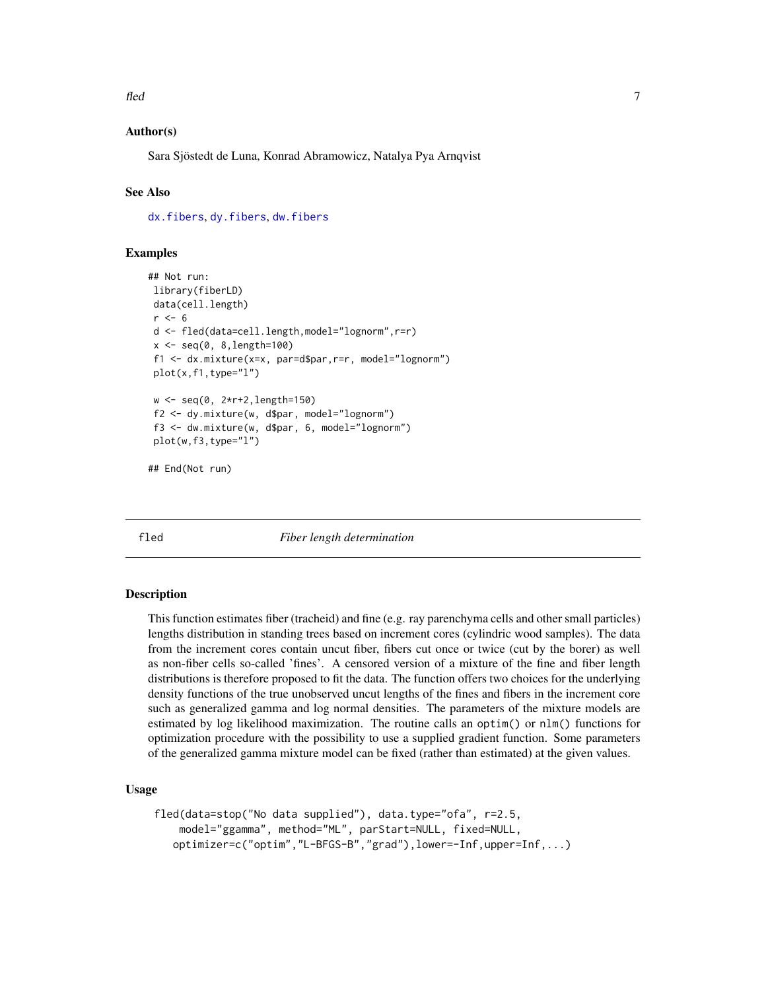<span id="page-6-0"></span>fled the contract of the contract of the contract of the contract of the contract of the contract of the contract of the contract of the contract of the contract of the contract of the contract of the contract of the contr

# Author(s)

Sara Sjöstedt de Luna, Konrad Abramowicz, Natalya Pya Arnqvist

# See Also

[dx.fibers](#page-3-1), [dy.fibers](#page-3-2), [dw.fibers](#page-3-2)

# Examples

```
## Not run:
library(fiberLD)
data(cell.length)
r \leq -6d <- fled(data=cell.length,model="lognorm",r=r)
x < - seq(0, 8, length=100)
f1 <- dx.mixture(x=x, par=d$par,r=r, model="lognorm")
plot(x,f1,type="l")
w <- seq(0, 2*r+2,length=150)
f2 <- dy.mixture(w, d$par, model="lognorm")
f3 <- dw.mixture(w, d$par, 6, model="lognorm")
plot(w,f3,type="l")
```
## End(Not run)

<span id="page-6-1"></span>fled *Fiber length determination*

#### **Description**

This function estimates fiber (tracheid) and fine (e.g. ray parenchyma cells and other small particles) lengths distribution in standing trees based on increment cores (cylindric wood samples). The data from the increment cores contain uncut fiber, fibers cut once or twice (cut by the borer) as well as non-fiber cells so-called 'fines'. A censored version of a mixture of the fine and fiber length distributions is therefore proposed to fit the data. The function offers two choices for the underlying density functions of the true unobserved uncut lengths of the fines and fibers in the increment core such as generalized gamma and log normal densities. The parameters of the mixture models are estimated by log likelihood maximization. The routine calls an optim() or nlm() functions for optimization procedure with the possibility to use a supplied gradient function. Some parameters of the generalized gamma mixture model can be fixed (rather than estimated) at the given values.

# Usage

```
fled(data=stop("No data supplied"), data.type="ofa", r=2.5,
   model="ggamma", method="ML", parStart=NULL, fixed=NULL,
   optimizer=c("optim","L-BFGS-B","grad"),lower=-Inf,upper=Inf,...)
```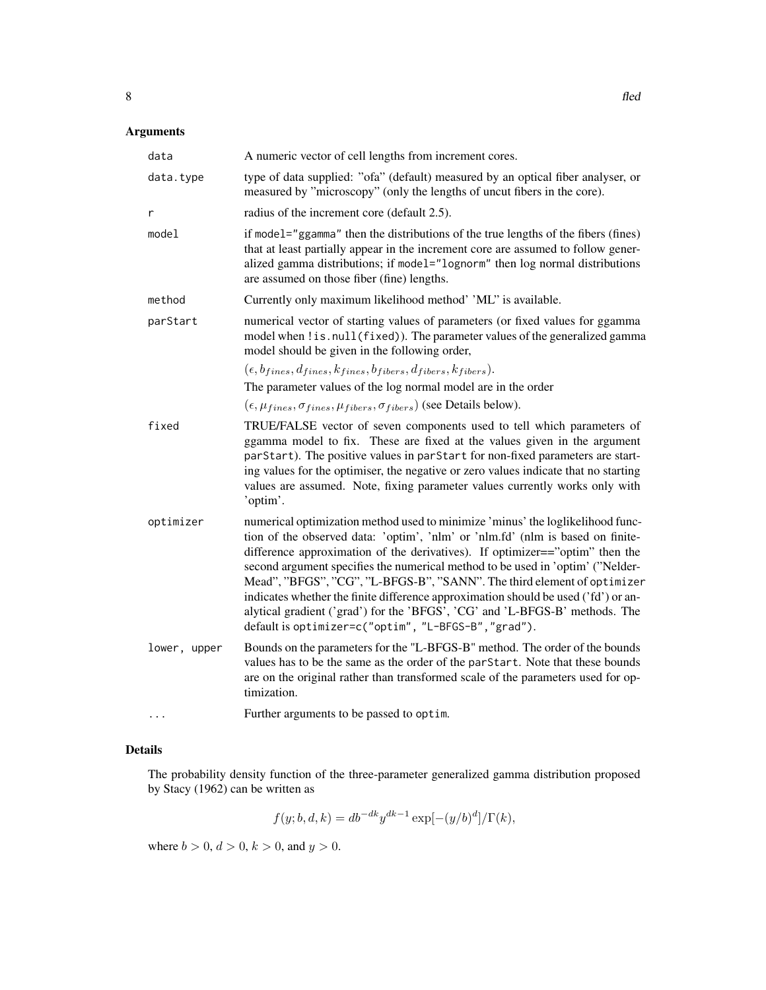# Arguments

| data         | A numeric vector of cell lengths from increment cores.                                                                                                                                                                                                                                                                                                                                                                                                                                                                                                                                                                                     |
|--------------|--------------------------------------------------------------------------------------------------------------------------------------------------------------------------------------------------------------------------------------------------------------------------------------------------------------------------------------------------------------------------------------------------------------------------------------------------------------------------------------------------------------------------------------------------------------------------------------------------------------------------------------------|
| data.type    | type of data supplied: "ofa" (default) measured by an optical fiber analyser, or<br>measured by "microscopy" (only the lengths of uncut fibers in the core).                                                                                                                                                                                                                                                                                                                                                                                                                                                                               |
| r            | radius of the increment core (default 2.5).                                                                                                                                                                                                                                                                                                                                                                                                                                                                                                                                                                                                |
| model        | if model="ggamma" then the distributions of the true lengths of the fibers (fines)<br>that at least partially appear in the increment core are assumed to follow gener-<br>alized gamma distributions; if model="lognorm" then log normal distributions<br>are assumed on those fiber (fine) lengths.                                                                                                                                                                                                                                                                                                                                      |
| method       | Currently only maximum likelihood method' 'ML' is available.                                                                                                                                                                                                                                                                                                                                                                                                                                                                                                                                                                               |
| parStart     | numerical vector of starting values of parameters (or fixed values for ggamma<br>model when ! is. null(fixed)). The parameter values of the generalized gamma<br>model should be given in the following order,                                                                                                                                                                                                                                                                                                                                                                                                                             |
|              | $(\epsilon, b_{fines}, d_{fines}, k_{fines}, b_{fibers}, d_{fibers}, k_{fibers}).$<br>The parameter values of the log normal model are in the order                                                                                                                                                                                                                                                                                                                                                                                                                                                                                        |
|              | $(\epsilon, \mu_{fines}, \sigma_{fines}, \mu_{fibers}, \sigma_{fibers})$ (see Details below).                                                                                                                                                                                                                                                                                                                                                                                                                                                                                                                                              |
| fixed        | TRUE/FALSE vector of seven components used to tell which parameters of<br>ggamma model to fix. These are fixed at the values given in the argument<br>parStart). The positive values in parStart for non-fixed parameters are start-<br>ing values for the optimiser, the negative or zero values indicate that no starting<br>values are assumed. Note, fixing parameter values currently works only with<br>'optim'.                                                                                                                                                                                                                     |
| optimizer    | numerical optimization method used to minimize 'minus' the loglikelihood func-<br>tion of the observed data: 'optim', 'nlm' or 'nlm.fd' (nlm is based on finite-<br>difference approximation of the derivatives). If optimizer=="optim" then the<br>second argument specifies the numerical method to be used in 'optim' ("Nelder-<br>Mead", "BFGS", "CG", "L-BFGS-B", "SANN". The third element of optimizer<br>indicates whether the finite difference approximation should be used ('fd') or an-<br>alytical gradient ('grad') for the 'BFGS', 'CG' and 'L-BFGS-B' methods. The<br>default is optimizer=c("optim", "L-BFGS-B", "grad"). |
| lower, upper | Bounds on the parameters for the "L-BFGS-B" method. The order of the bounds<br>values has to be the same as the order of the parStart. Note that these bounds<br>are on the original rather than transformed scale of the parameters used for op-<br>timization.                                                                                                                                                                                                                                                                                                                                                                           |
| .            | Further arguments to be passed to optim.                                                                                                                                                                                                                                                                                                                                                                                                                                                                                                                                                                                                   |

# Details

The probability density function of the three-parameter generalized gamma distribution proposed by Stacy (1962) can be written as

$$
f(y; b, d, k) = db^{-dk} y^{dk-1} \exp[-(y/b)^d]/\Gamma(k),
$$

where  $b > 0$ ,  $d > 0$ ,  $k > 0$ , and  $y > 0$ .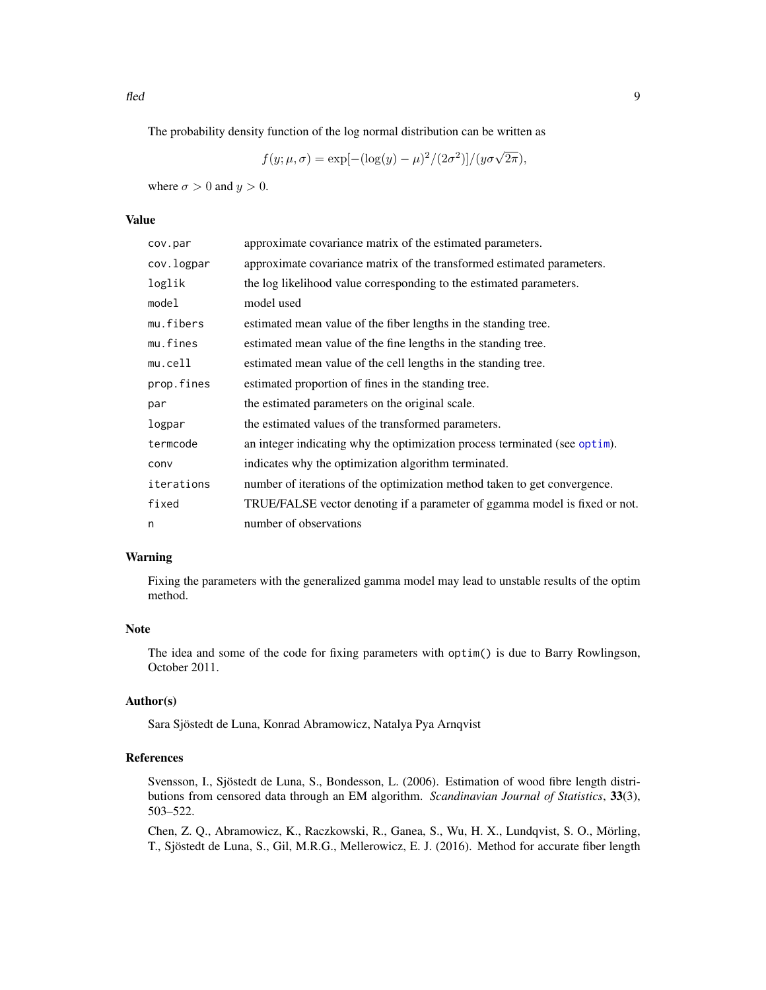<span id="page-8-0"></span>fled the contract of the contract of the contract of the contract of the contract of the contract of the contract of the contract of the contract of the contract of the contract of the contract of the contract of the contr

The probability density function of the log normal distribution can be written as

$$
f(y; \mu, \sigma) = \exp[-(\log(y) - \mu)^2/(2\sigma^2)]/(y\sigma\sqrt{2\pi}),
$$

where  $\sigma > 0$  and  $y > 0$ .

# Value

| cov.par    | approximate covariance matrix of the estimated parameters.                 |
|------------|----------------------------------------------------------------------------|
| cov.logpar | approximate covariance matrix of the transformed estimated parameters.     |
| loglik     | the log likelihood value corresponding to the estimated parameters.        |
| model      | model used                                                                 |
| mu.fibers  | estimated mean value of the fiber lengths in the standing tree.            |
| mu.fines   | estimated mean value of the fine lengths in the standing tree.             |
| mu.cell1   | estimated mean value of the cell lengths in the standing tree.             |
| prop.fines | estimated proportion of fines in the standing tree.                        |
| par        | the estimated parameters on the original scale.                            |
| logpar     | the estimated values of the transformed parameters.                        |
| termcode   | an integer indicating why the optimization process terminated (see optim). |
| conv       | indicates why the optimization algorithm terminated.                       |
| iterations | number of iterations of the optimization method taken to get convergence.  |
| fixed      | TRUE/FALSE vector denoting if a parameter of ggamma model is fixed or not. |
| n          | number of observations                                                     |

# Warning

Fixing the parameters with the generalized gamma model may lead to unstable results of the optim method.

# Note

The idea and some of the code for fixing parameters with optim() is due to Barry Rowlingson, October 2011.

# Author(s)

Sara Sjöstedt de Luna, Konrad Abramowicz, Natalya Pya Arnqvist

#### References

Svensson, I., Sjöstedt de Luna, S., Bondesson, L. (2006). Estimation of wood fibre length distributions from censored data through an EM algorithm. *Scandinavian Journal of Statistics*, 33(3), 503–522.

Chen, Z. Q., Abramowicz, K., Raczkowski, R., Ganea, S., Wu, H. X., Lundqvist, S. O., Mörling, T., Sjöstedt de Luna, S., Gil, M.R.G., Mellerowicz, E. J. (2016). Method for accurate fiber length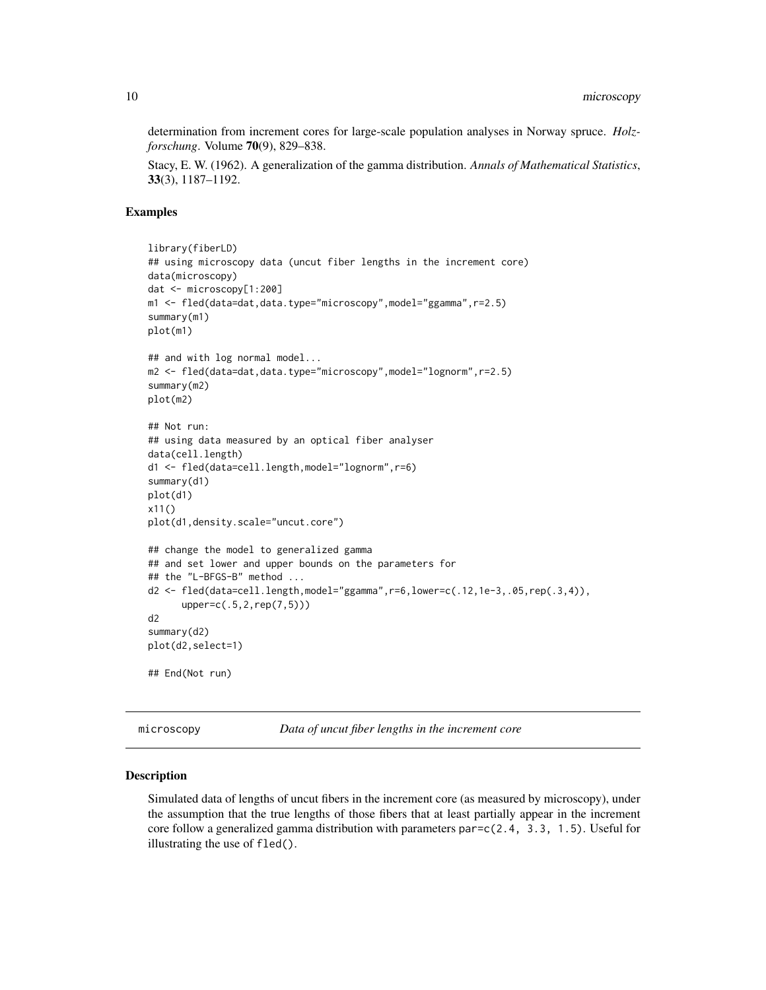determination from increment cores for large-scale population analyses in Norway spruce. *Holzforschung*. Volume 70(9), 829–838.

Stacy, E. W. (1962). A generalization of the gamma distribution. *Annals of Mathematical Statistics*, 33(3), 1187–1192.

# Examples

```
library(fiberLD)
## using microscopy data (uncut fiber lengths in the increment core)
data(microscopy)
dat <- microscopy[1:200]
m1 <- fled(data=dat,data.type="microscopy",model="ggamma",r=2.5)
summary(m1)
plot(m1)
## and with log normal model...
m2 <- fled(data=dat,data.type="microscopy",model="lognorm",r=2.5)
summary(m2)
plot(m2)
## Not run:
## using data measured by an optical fiber analyser
data(cell.length)
d1 <- fled(data=cell.length,model="lognorm",r=6)
summary(d1)
plot(d1)
x11()
plot(d1,density.scale="uncut.core")
## change the model to generalized gamma
## and set lower and upper bounds on the parameters for
## the "L-BFGS-B" method ...
d2 <- fled(data=cell.length,model="ggamma",r=6,lower=c(.12,1e-3,.05,rep(.3,4)),
      upper=c(.5,2,rep(7,5)))
d2
summary(d2)
plot(d2,select=1)
## End(Not run)
```
microscopy *Data of uncut fiber lengths in the increment core*

#### Description

Simulated data of lengths of uncut fibers in the increment core (as measured by microscopy), under the assumption that the true lengths of those fibers that at least partially appear in the increment core follow a generalized gamma distribution with parameters par=c(2.4, 3.3, 1.5). Useful for illustrating the use of fled().

<span id="page-9-0"></span>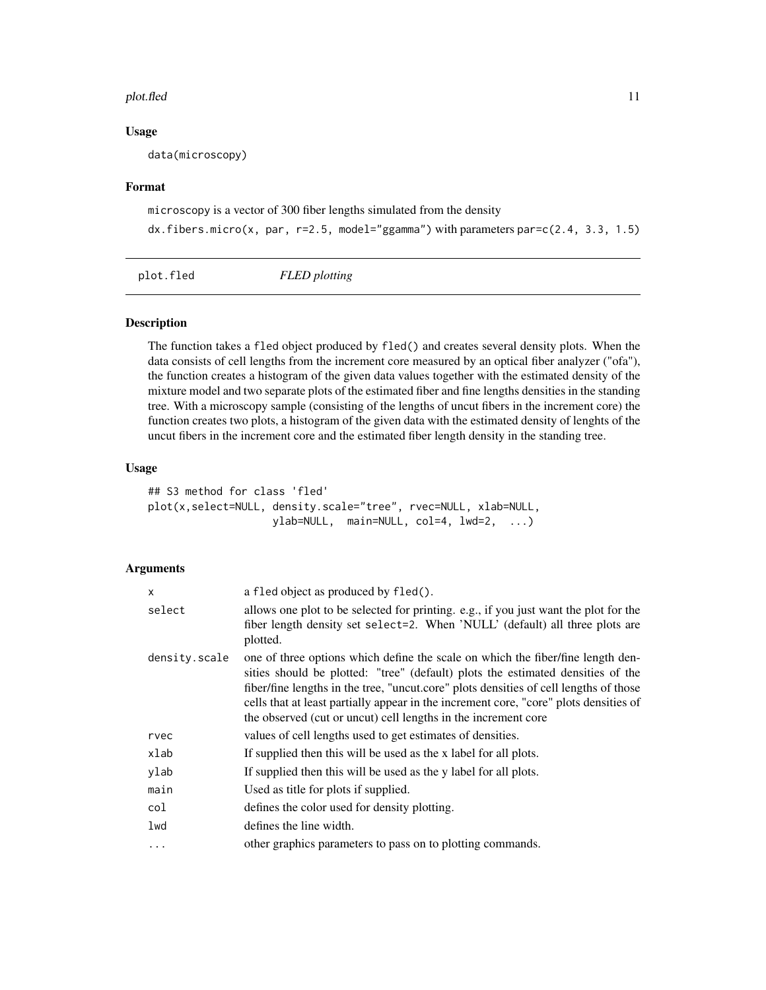#### <span id="page-10-0"></span>plot.fled 11

# Usage

data(microscopy)

# Format

microscopy is a vector of 300 fiber lengths simulated from the density

```
dx.fibers.micro(x, par, r=2.5, model="ggamma") with parameters par=c(2.4, 3.3, 1.5)
```
plot.fled *FLED plotting*

# Description

The function takes a fled object produced by fled() and creates several density plots. When the data consists of cell lengths from the increment core measured by an optical fiber analyzer ("ofa"), the function creates a histogram of the given data values together with the estimated density of the mixture model and two separate plots of the estimated fiber and fine lengths densities in the standing tree. With a microscopy sample (consisting of the lengths of uncut fibers in the increment core) the function creates two plots, a histogram of the given data with the estimated density of lenghts of the uncut fibers in the increment core and the estimated fiber length density in the standing tree.

# Usage

```
## S3 method for class 'fled'
plot(x,select=NULL, density.scale="tree", rvec=NULL, xlab=NULL,
                   ylab=NULL, main=NULL, col=4, lwd=2, ...)
```
# Arguments

| a fled object as produced by fled().                                                                                                                                                                                                                                                                                                                                                                                   |
|------------------------------------------------------------------------------------------------------------------------------------------------------------------------------------------------------------------------------------------------------------------------------------------------------------------------------------------------------------------------------------------------------------------------|
| allows one plot to be selected for printing. e.g., if you just want the plot for the<br>fiber length density set select=2. When 'NULL' (default) all three plots are<br>plotted.                                                                                                                                                                                                                                       |
| one of three options which define the scale on which the fiber/fine length den-<br>sities should be plotted: "tree" (default) plots the estimated densities of the<br>fiber/fine lengths in the tree, "uncut.core" plots densities of cell lengths of those<br>cells that at least partially appear in the increment core, "core" plots densities of<br>the observed (cut or uncut) cell lengths in the increment core |
| values of cell lengths used to get estimates of densities.                                                                                                                                                                                                                                                                                                                                                             |
| If supplied then this will be used as the x label for all plots.                                                                                                                                                                                                                                                                                                                                                       |
| If supplied then this will be used as the y label for all plots.                                                                                                                                                                                                                                                                                                                                                       |
| Used as title for plots if supplied.                                                                                                                                                                                                                                                                                                                                                                                   |
| defines the color used for density plotting.                                                                                                                                                                                                                                                                                                                                                                           |
| defines the line width.                                                                                                                                                                                                                                                                                                                                                                                                |
| other graphics parameters to pass on to plotting commands.                                                                                                                                                                                                                                                                                                                                                             |
|                                                                                                                                                                                                                                                                                                                                                                                                                        |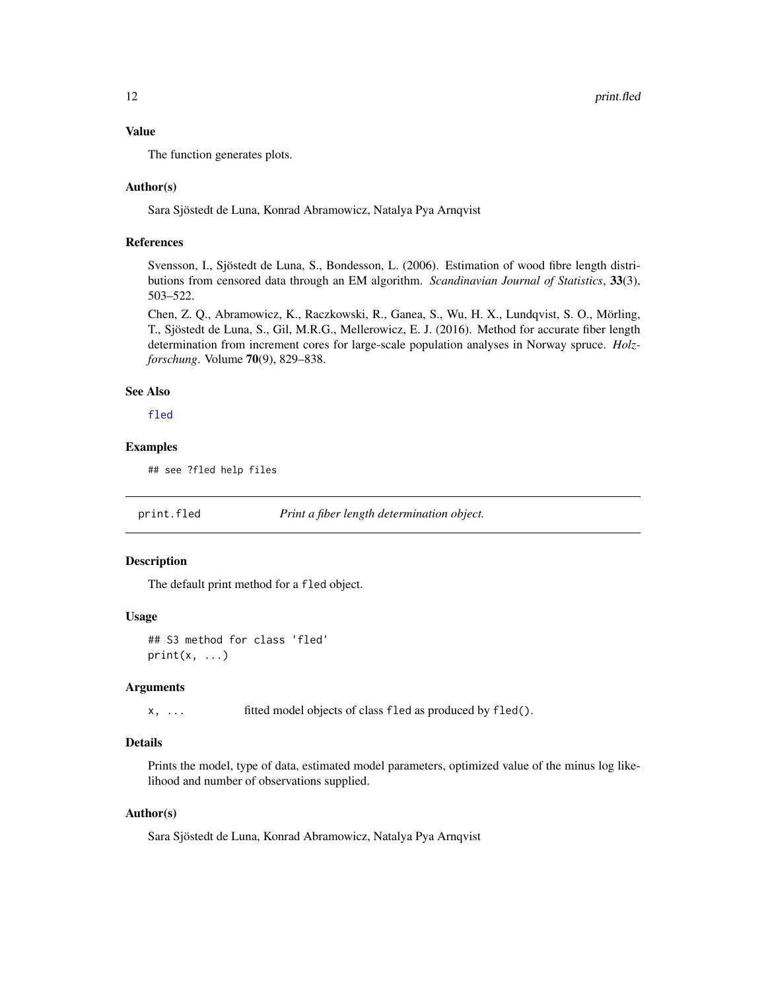# <span id="page-11-0"></span>Value

The function generates plots.

# Author(s)

Sara Sjöstedt de Luna, Konrad Abramowicz, Natalya Pya Arnqvist

# References

Svensson, I., Sjöstedt de Luna, S., Bondesson, L. (2006). Estimation of wood fibre length distributions from censored data through an EM algorithm. *Scandinavian Journal of Statistics*, 33(3), 503–522.

Chen, Z. Q., Abramowicz, K., Raczkowski, R., Ganea, S., Wu, H. X., Lundqvist, S. O., Mörling, T., Sjöstedt de Luna, S., Gil, M.R.G., Mellerowicz, E. J. (2016). Method for accurate fiber length determination from increment cores for large-scale population analyses in Norway spruce. *Holzforschung*. Volume 70(9), 829–838.

# See Also

[fled](#page-6-1)

# Examples

## see ?fled help files

print.fled *Print a fiber length determination object.*

# Description

The default print method for a fled object.

#### Usage

## S3 method for class 'fled'  $print(x, \ldots)$ 

# Arguments

x, ... fitted model objects of class fled as produced by fled().

#### Details

Prints the model, type of data, estimated model parameters, optimized value of the minus log likelihood and number of observations supplied.

#### Author(s)

Sara Sjöstedt de Luna, Konrad Abramowicz, Natalya Pya Arnqvist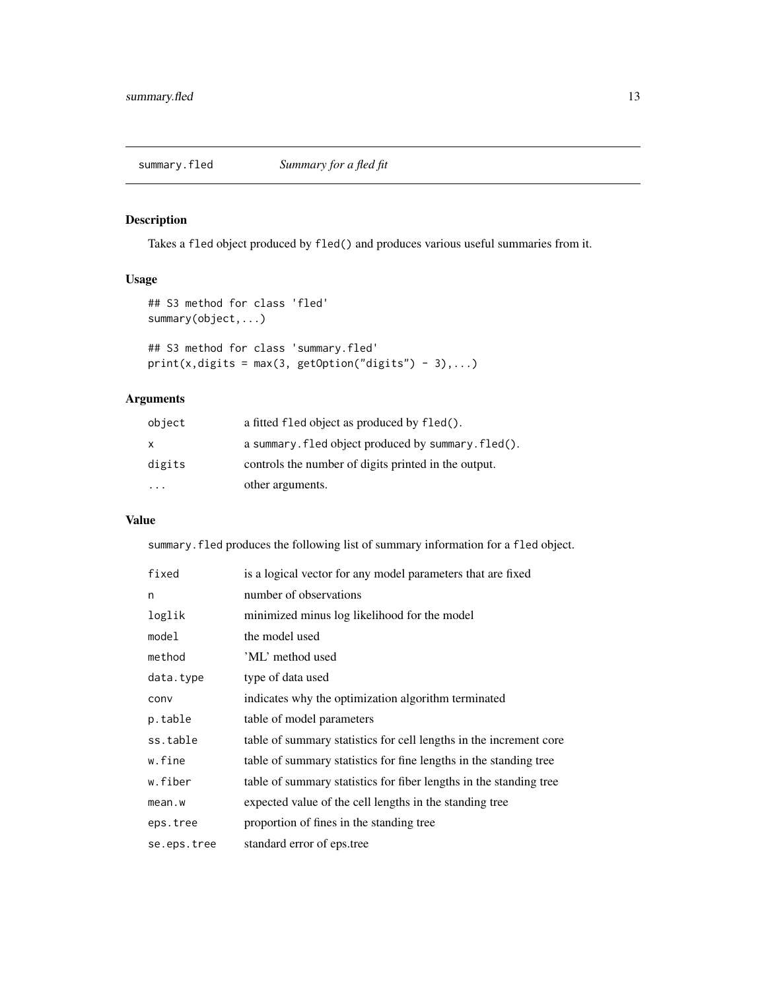# <span id="page-12-0"></span>Description

Takes a fled object produced by fled() and produces various useful summaries from it.

# Usage

```
## S3 method for class 'fled'
summary(object,...)
## S3 method for class 'summary.fled'
print(x, digits = max(3, getOption("digits") - 3),...)
```
# Arguments

| object                  | a fitted fled object as produced by fled().          |
|-------------------------|------------------------------------------------------|
| x.                      | a summary. fled object produced by summary. fled().  |
| digits                  | controls the number of digits printed in the output. |
| $\cdot$ $\cdot$ $\cdot$ | other arguments.                                     |

# Value

summary.fled produces the following list of summary information for a fled object.

| fixed       | is a logical vector for any model parameters that are fixed        |
|-------------|--------------------------------------------------------------------|
| n           | number of observations                                             |
| loglik      | minimized minus log likelihood for the model                       |
| model       | the model used                                                     |
| method      | 'ML' method used                                                   |
| data.type   | type of data used                                                  |
| conv        | indicates why the optimization algorithm terminated                |
| p.table     | table of model parameters                                          |
| ss.table    | table of summary statistics for cell lengths in the increment core |
| w.fine      | table of summary statistics for fine lengths in the standing tree  |
| w.fiber     | table of summary statistics for fiber lengths in the standing tree |
| mean.w      | expected value of the cell lengths in the standing tree            |
| eps.tree    | proportion of fines in the standing tree                           |
| se.eps.tree | standard error of eps.tree                                         |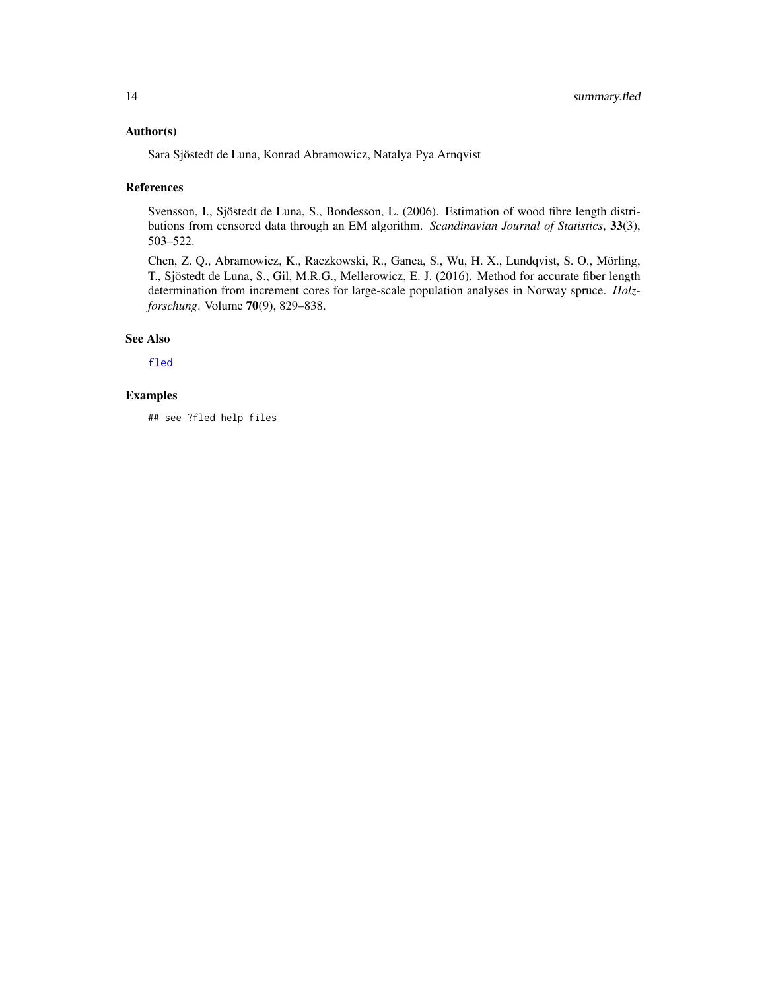# <span id="page-13-0"></span>Author(s)

Sara Sjöstedt de Luna, Konrad Abramowicz, Natalya Pya Arnqvist

#### References

Svensson, I., Sjöstedt de Luna, S., Bondesson, L. (2006). Estimation of wood fibre length distributions from censored data through an EM algorithm. *Scandinavian Journal of Statistics*, 33(3), 503–522.

Chen, Z. Q., Abramowicz, K., Raczkowski, R., Ganea, S., Wu, H. X., Lundqvist, S. O., Mörling, T., Sjöstedt de Luna, S., Gil, M.R.G., Mellerowicz, E. J. (2016). Method for accurate fiber length determination from increment cores for large-scale population analyses in Norway spruce. *Holzforschung*. Volume 70(9), 829–838.

# See Also

[fled](#page-6-1)

# Examples

## see ?fled help files